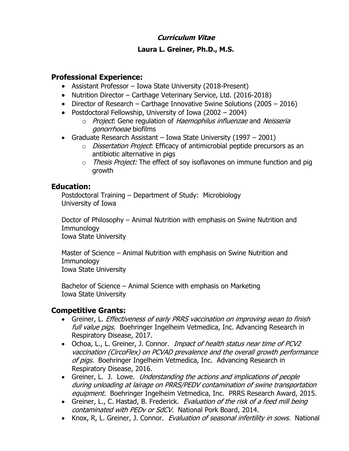### **Curriculum Vitae**

#### **Laura L. Greiner, Ph.D., M.S.**

#### **Professional Experience:**

- Assistant Professor Iowa State University (2018-Present)
- Nutrition Director Carthage Veterinary Service, Ltd. (2016-2018)
- Director of Research Carthage Innovative Swine Solutions (2005 2016)
- Postdoctoral Fellowship, University of Iowa (2002 2004)
	- o Project: Gene regulation of Haemophilus influenzae and Neisseria gonorrhoeae biofilms
- Graduate Research Assistant Iowa State University (1997 2001)
	- o *Dissertation Project*: Efficacy of antimicrobial peptide precursors as an antibiotic alternative in pigs
	- $\circ$  Thesis Project: The effect of soy isoflavones on immune function and pig growth

#### **Education:**

Postdoctoral Training – Department of Study: Microbiology University of Iowa

Doctor of Philosophy – Animal Nutrition with emphasis on Swine Nutrition and Immunology Iowa State University

Master of Science – Animal Nutrition with emphasis on Swine Nutrition and Immunology Iowa State University

Bachelor of Science – Animal Science with emphasis on Marketing Iowa State University

#### **Competitive Grants:**

- Greiner, L. *Effectiveness of early PRRS vaccination on improving wean to finish* full value pigs. Boehringer Ingelheim Vetmedica, Inc. Advancing Research in Respiratory Disease, 2017.
- Ochoa, L., L. Greiner, J. Connor. *Impact of health status near time of PCV2* vaccination (CircoFlex) on PCVAD prevalence and the overall growth performance of pigs. Boehringer Ingelheim Vetmedica, Inc. Advancing Research in Respiratory Disease, 2016.
- Greiner, L. J. Lowe. *Understanding the actions and implications of people* during unloading at lairage on PRRS/PEDV contamination of swine transportation equipment. Boehringer Ingelheim Vetmedica, Inc. PRRS Research Award, 2015.
- Greiner, L., C. Hastad, B. Frederick. *Evaluation of the risk of a feed mill being* contaminated with PEDv or SdCV. National Pork Board, 2014.
- Knox, R, L. Greiner, J. Connor. Evaluation of seasonal infertility in sows. National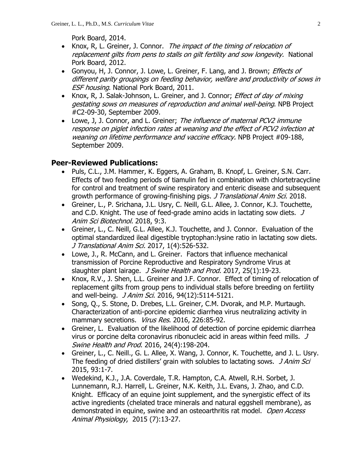Pork Board, 2014.

- Knox, R, L. Greiner, J. Connor. The impact of the timing of relocation of replacement gilts from pens to stalls on gilt fertility and sow longevity. National Pork Board, 2012.
- Gonyou, H, J. Connor, J. Lowe, L. Greiner, F. Lang, and J. Brown; *Effects of* different parity groupings on feeding behavior, welfare and productivity of sows in ESF housing. National Pork Board, 2011.
- Knox, R, J. Salak-Johnson, L. Greiner, and J. Connor; *Effect of day of mixing* gestating sows on measures of reproduction and animal well-being. NPB Project #C2-09-30, September 2009.
- Lowe, J, J. Connor, and L. Greiner; The influence of maternal PCV2 immune response on piglet infection rates at weaning and the effect of PCV2 infection at weaning on lifetime performance and vaccine efficacy. NPB Project #09-188, September 2009.

## **Peer-Reviewed Publications:**

- Puls, C.L., J.M. Hammer, K. Eggers, A. Graham, B. Knopf, L. Greiner, S.N. Carr. Effects of two feeding periods of tiamulin fed in combination with chlortetracycline for control and treatment of swine respiratory and enteric disease and subsequent growth performance of growing-finishing pigs. J Translational Anim Sci. 2018.
- Greiner, L., P. Srichana, J.L. Usry, C. Neill, G.L. Allee, J. Connor, K.J. Touchette, and C.D. Knight. The use of feed-grade amino acids in lactating sow diets. J Anim Sci Biotechnol. 2018, 9:3.
- Greiner, L., C. Neill, G.L. Allee, K.J. Touchette, and J. Connor. Evaluation of the optimal standardized ileal digestible tryptophan:lysine ratio in lactating sow diets. J Translational Anim Sci. 2017, 1(4):526-532.
- Lowe, J., R. McCann, and L. Greiner. Factors that influence mechanical transmission of Porcine Reproductive and Respiratory Syndrome Virus at slaughter plant lairage. *J Swine Health and Prod.* 2017, 25(1):19-23.
- Knox, R.V., J. Shen, L.L. Greiner and J.F. Connor. Effect of timing of relocation of replacement gilts from group pens to individual stalls before breeding on fertility and well-being. *J Anim Sci*. 2016, 94(12):5114-5121.
- Song, Q., S. Stone, D. Drebes, L.L. Greiner, C.M. Dvorak, and M.P. Murtaugh. Characterization of anti-porcine epidemic diarrhea virus neutralizing activity in mammary secretions. Virus Res. 2016, 226:85-92.
- Greiner, L. Evaluation of the likelihood of detection of porcine epidemic diarrhea virus or porcine delta coronavirus ribonucleic acid in areas within feed mills. J Swine Health and Prod. 2016, 24(4):198-204.
- Greiner, L., C. Neill., G. L. Allee, X. Wang, J. Connor, K. Touchette, and J. L. Usry. The feeding of dried distillers' grain with solubles to lactating sows. J Anim Sci 2015, 93:1-7.
- Wedekind, K.J., J.A. Coverdale, T.R. Hampton, C.A. Atwell, R.H. Sorbet, J. Lunnemann, R.J. Harrell, L. Greiner, N.K. Keith, J.L. Evans, J. Zhao, and C.D. Knight. Efficacy of an equine joint supplement, and the synergistic effect of its active ingredients (chelated trace minerals and natural eggshell membrane), as demonstrated in equine, swine and an osteoarthritis rat model. Open Access Animal Physiology, 2015 (7):13-27.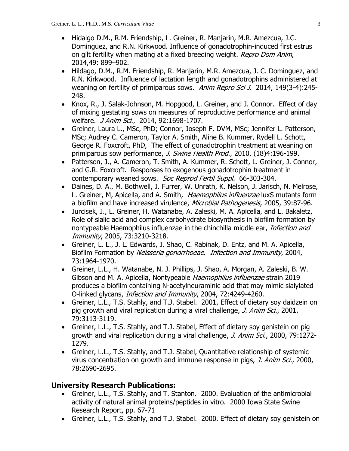- Hidalgo D.M., R.M. Friendship, L. Greiner, R. Manjarin, M.R. Amezcua, J.C. Dominguez, and R.N. Kirkwood. Influence of gonadotrophin-induced first estrus on gilt fertility when mating at a fixed breeding weight. Repro Dom Anim, 2014,49: 899–902.
- Hildago, D.M., R.M. Friendship, R. Manjarin, M.R. Amezcua, J. C. Dominguez, and R.N. Kirkwood. Influence of lactation length and gonadotrophins administered at weaning on fertility of primiparous sows. Anim Repro Sci J. 2014, 149(3-4):245-248.
- Knox, R., J. Salak-Johnson, M. Hopgood, L. Greiner, and J. Connor. Effect of day of mixing gestating sows on measures of reproductive performance and animal welfare. J Anim Sci., 2014, 92:1698-1707.
- Greiner, Laura L., MSc, PhD; Connor, Joseph F, DVM, MSc; Jennifer L. Patterson, MSc; Audrey C. Cameron, Taylor A. Smith, Aline B. Kummer, Rydell L. Schott, George R. Foxcroft, PhD, The effect of gonadotrophin treatment at weaning on primiparous sow performance, *J. Swine Health Prod.*, 2010, (18)4:196-199.
- Patterson, J., A. Cameron, T. Smith, A. Kummer, R. Schott, L. Greiner, J. Connor, and G.R. Foxcroft. Responses to exogenous gonadotrophin treatment in contemporary weaned sows. Soc Reprod Fertil Suppl. 66-303-304.
- Daines, D. A., M. Bothwell, J. Furrer, W. Unrath, K. Nelson, J. Jarisch, N. Melrose, L. Greiner, M, Apicella, and A. Smith, Haemophilus influenzae luxS mutants form a biofilm and have increased virulence, Microbial Pathogenesis, 2005, 39:87-96.
- Jurcisek, J., L. Greiner, H. Watanabe, A. Zaleski, M. A. Apicella, and L. Bakaletz, Role of sialic acid and complex carbohydrate biosynthesis in biofilm formation by nontypeable Haemophilus influenzae in the chinchilla middle ear, *Infection and* Immunity, 2005, 73:3210-3218.
- Greiner, L. L., J. L. Edwards, J. Shao, C. Rabinak, D. Entz, and M. A. Apicella, Biofilm Formation by Neisseria gonorrhoeae. Infection and Immunity, 2004, 73:1964-1970.
- Greiner, L.L., H. Watanabe, N. J. Phillips, J. Shao, A. Morgan, A. Zaleski, B. W. Gibson and M. A. Apicella, Nontypeable Haemophilus influenzae strain 2019 produces a biofilm containing N-acetylneuraminic acid that may mimic sialylated O-linked glycans, Infection and Immunity, 2004, 72:4249-4260.
- Greiner, L.L., T.S. Stahly, and T.J. Stabel. 2001, Effect of dietary soy daidzein on pig growth and viral replication during a viral challenge, J. Anim Sci., 2001, 79:3113-3119.
- Greiner, L.L., T.S. Stahly, and T.J. Stabel, Effect of dietary soy genistein on pig growth and viral replication during a viral challenge, J. Anim Sci., 2000, 79:1272-1279.
- Greiner, L.L., T.S. Stahly, and T.J. Stabel, Quantitative relationship of systemic virus concentration on growth and immune response in pigs, *J. Anim Sci.*, 2000, 78:2690-2695.

## **University Research Publications:**

- Greiner, L.L., T.S. Stahly, and T. Stanton. 2000. Evaluation of the antimicrobial activity of natural animal proteins/peptides in vitro. 2000 Iowa State Swine Research Report, pp. 67-71
- Greiner, L.L., T.S. Stahly, and T.J. Stabel. 2000. Effect of dietary soy genistein on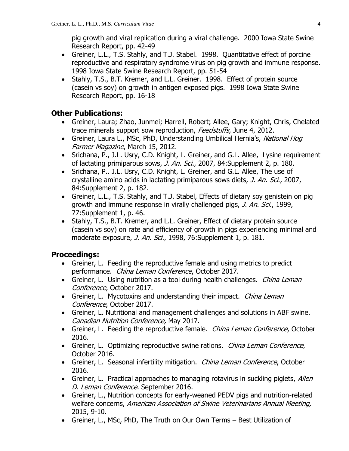pig growth and viral replication during a viral challenge. 2000 Iowa State Swine Research Report, pp. 42-49

- Greiner, L.L., T.S. Stahly, and T.J. Stabel. 1998. Quantitative effect of porcine reproductive and respiratory syndrome virus on pig growth and immune response. 1998 Iowa State Swine Research Report, pp. 51-54
- Stahly, T.S., B.T. Kremer, and L.L. Greiner. 1998. Effect of protein source (casein vs soy) on growth in antigen exposed pigs. 1998 Iowa State Swine Research Report, pp. 16-18

## **Other Publications:**

- Greiner, Laura; Zhao, Junmei; Harrell, Robert; Allee, Gary; Knight, Chris, Chelated trace minerals support sow reproduction, Feedstuffs, June 4, 2012.
- Greiner, Laura L., MSc, PhD, Understanding Umbilical Hernia's, National Hog Farmer Magazine, March 15, 2012.
- Srichana, P., J.L. Usry, C.D. Knight, L. Greiner, and G.L. Allee, Lysine requirement of lactating primiparous sows, *J. An. Sci.*, 2007, 84: Supplement 2, p. 180.
- Srichana, P.. J.L. Usry, C.D. Knight, L. Greiner, and G.L. Allee, The use of crystalline amino acids in lactating primiparous sows diets, J. An. Sci., 2007, 84:Supplement 2, p. 182.
- Greiner, L.L., T.S. Stahly, and T.J. Stabel, Effects of dietary soy genistein on pig growth and immune response in virally challenged pigs, J. An. Sci., 1999, 77:Supplement 1, p. 46.
- Stahly, T.S., B.T. Kremer, and L.L. Greiner, Effect of dietary protein source (casein vs soy) on rate and efficiency of growth in pigs experiencing minimal and moderate exposure, *J. An. Sci.*, 1998, 76:Supplement 1, p. 181.

## **Proceedings:**

- Greiner, L. Feeding the reproductive female and using metrics to predict performance. China Leman Conference, October 2017.
- Greiner, L. Using nutrition as a tool during health challenges. *China Leman* Conference, October 2017.
- Greiner, L. Mycotoxins and understanding their impact. China Leman Conference, October 2017.
- Greiner, L. Nutritional and management challenges and solutions in ABF swine. Canadian Nutrition Conference, May 2017.
- Greiner, L. Feeding the reproductive female. *China Leman Conference*, October 2016.
- Greiner, L. Optimizing reproductive swine rations. *China Leman Conference*, October 2016.
- Greiner, L. Seasonal infertility mitigation. China Leman Conference, October 2016.
- Greiner, L. Practical approaches to managing rotavirus in suckling piglets, Allen D. Leman Conference. September 2016.
- Greiner, L., Nutrition concepts for early-weaned PEDV pigs and nutrition-related welfare concerns, American Association of Swine Veterinarians Annual Meeting, 2015, 9-10.
- Greiner, L., MSc, PhD, The Truth on Our Own Terms Best Utilization of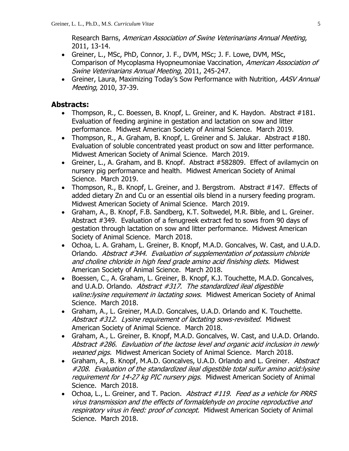Research Barns, American Association of Swine Veterinarians Annual Meeting, 2011, 13-14.

- Greiner, L., MSc, PhD, Connor, J. F., DVM, MSc; J. F. Lowe, DVM, MSc, Comparison of Mycoplasma Hyopneumoniae Vaccination, American Association of Swine Veterinarians Annual Meeting, 2011, 245-247.
- Greiner, Laura, Maximizing Today's Sow Performance with Nutrition, AASV Annual Meeting, 2010, 37-39.

#### **Abstracts:**

- Thompson, R., C. Boessen, B. Knopf, L. Greiner, and K. Haydon. Abstract #181. Evaluation of feeding arginine in gestation and lactation on sow and litter performance. Midwest American Society of Animal Science. March 2019.
- Thompson, R., A. Graham, B. Knopf, L. Greiner and S. Jalukar. Abstract #180. Evaluation of soluble concentrated yeast product on sow and litter performance. Midwest American Society of Animal Science. March 2019.
- Greiner, L., A. Graham, and B. Knopf. Abstract #582809. Effect of avilamycin on nursery pig performance and health. Midwest American Society of Animal Science. March 2019.
- Thompson, R., B. Knopf, L. Greiner, and J. Bergstrom. Abstract #147. Effects of added dietary Zn and Cu or an essential oils blend in a nursery feeding program. Midwest American Society of Animal Science. March 2019.
- Graham, A., B. Knopf, F.B. Sandberg, K.T. Soltwedel, M.R. Bible, and L. Greiner. Abstract #349. Evaluation of a fenugreek extract fed to sows from 90 days of gestation through lactation on sow and litter performance. Midwest American Society of Animal Science. March 2018.
- Ochoa, L. A. Graham, L. Greiner, B. Knopf, M.A.D. Goncalves, W. Cast, and U.A.D. Orlando. Abstract #344. Evaluation of supplementation of potassium chloride and choline chloride in high feed grade amino acid finishing diets. Midwest American Society of Animal Science. March 2018.
- Boessen, C., A. Graham, L. Greiner, B. Knopf, K.J. Touchette, M.A.D. Goncalves, and U.A.D. Orlando. Abstract #317. The standardized ileal digestible valine: lysine requirement in lactating sows. Midwest American Society of Animal Science. March 2018.
- Graham, A., L. Greiner, M.A.D. Goncalves, U.A.D. Orlando and K. Touchette. Abstract #312. Lysine requirement of lactating sows-revisited. Midwest American Society of Animal Science. March 2018.
- Graham, A., L. Greiner, B. Knopf, M.A.D. Goncalves, W. Cast, and U.A.D. Orlando. Abstract #286. Eavluation of the lactose level and organic acid inclusion in newly weaned pigs. Midwest American Society of Animal Science. March 2018.
- Graham, A., B. Knopf, M.A.D. Goncalves, U.A.D. Orlando and L. Greiner. Abstract #208. Evaluation of the standardized ileal digestible total sulfur amino acid:lysine requirement for 14-27 kg PIC nursery pigs. Midwest American Society of Animal Science. March 2018.
- Ochoa, L., L. Greiner, and T. Pacion. Abstract #119. Feed as a vehicle for PRRS virus transmission and the effects of formaldehyde on procine reproductive and respiratory virus in feed: proof of concept. Midwest American Society of Animal Science. March 2018.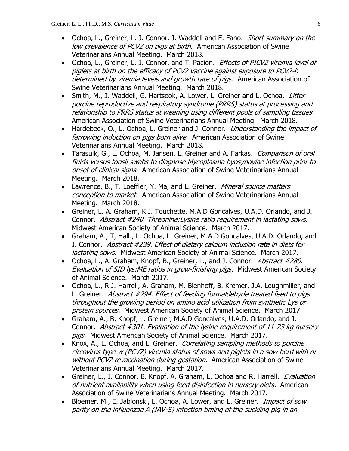- Ochoa, L., Greiner, L. J. Connor, J. Waddell and E. Fano. Short summary on the low prevalence of PCV2 on pigs at birth. American Association of Swine Veterinarians Annual Meeting. March 2018.
- Ochoa, L., Greiner, L. J. Connor, and T. Pacion. *Effects of PICV2 viremia level of* piglets at birth on the efficacy of PCV2 vaccine against exposure to PCV2-b determined by viremia levels and growth rate of pigs. American Association of Swine Veterinarians Annual Meeting. March 2018.
- Smith, M., J. Waddell, G. Hartsook, A. Lower, L. Greiner and L. Ochoa. Litter porcine reproductive and respiratory syndrome (PRRS) status at processing and relationship to PRRS status at weaning using different pools of sampling tissues. American Association of Swine Veterinarians Annual Meeting. March 2018.
- Hardebeck, O., L. Ochoa, L. Greiner and J. Connor. *Understanding the impact of* farrowing induction on pigs born alive. American Association of Swine Veterinarians Annual Meeting. March 2018.
- Tarasuik, G., L. Ochoa, M. Jansen, L. Greiner and A. Farkas. Comparison of oral fluids versus tonsil swabs to diagnose Mycoplasma hyosynoviae infection prior to onset of clinical signs. American Association of Swine Veterinarians Annual Meeting. March 2018.
- Lawrence, B., T. Loeffler, Y. Ma, and L. Greiner. Mineral source matters conception to market. American Association of Swine Veterinarians Annual Meeting. March 2018.
- Greiner, L. A. Graham, K.J. Touchette, M.A.D Goncalves, U.A.D. Orlando, and J. Connor. Abstract #240. Threonine:Lysine ratio requirement in lactating sows. Midwest American Society of Animal Science. March 2017.
- Graham, A., T, Hall., L. Ochoa, L. Greiner, M.A.D Goncalves, U.A.D. Orlando, and J. Connor. Abstract #239. Effect of dietary calcium inclusion rate in diets for lactating sows. Midwest American Society of Animal Science. March 2017.
- Ochoa, L., A. Graham, Knopf, B., Greiner, L., and J. Connor. Abstract #280. Evaluation of SID lys:ME ratios in grow-finishing pigs. Midwest American Society of Animal Science. March 2017.
- Ochoa, L., R.J. Harrell, A. Graham, M. Bienhoff, B. Kremer, J.A. Loughmiller, and L. Greiner. Abstract #294. Effect of feeding formaldehyde treated feed to pigs throughout the growing period on amino acid utilization from synthetic Lys or protein sources. Midwest American Society of Animal Science. March 2017.
- Graham, A., B. Knopf, L. Greiner, M.A.D Goncalves, U.A.D. Orlando, and J. Connor. Abstract #301. Evaluation of the lysine requirement of 11-23 kg nursery pigs. Midwest American Society of Animal Science. March 2017.
- Knox, A., L. Ochoa, and L. Greiner. Correlating sampling methods to porcine circovirus type w (PCV2) viremia status of sows and piglets in a sow herd with or without PCV2 revaccination during gestation. American Association of Swine Veterinarians Annual Meeting. March 2017.
- Greiner, L., J. Connor, B. Knopf, A. Graham, L. Ochoa and R. Harrell. Evaluation of nutrient availability when using feed disinfection in nursery diets. American Association of Swine Veterinarians Annual Meeting. March 2017.
- Bloemer, M., E. Jablonski, L. Ochoa, A. Lower, and L. Greiner. *Impact of sow* parity on the influenzae A (IAV-S) infection timing of the suckling pig in an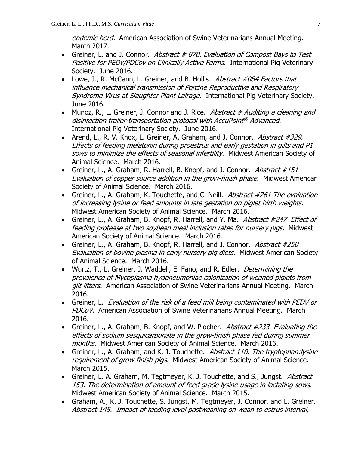endemic herd. American Association of Swine Veterinarians Annual Meeting. March 2017.

- Greiner, L. and J. Connor. Abstract  $\#$  070. Evaluation of Compost Bays to Test Positive for PEDv/PDCov on Clinically Active Farms. International Pig Veterinary Society. June 2016.
- Lowe, J., R. McCann, L. Greiner, and B. Hollis. Abstract #084 Factors that influence mechanical transmission of Porcine Reproductive and Respiratory Syndrome Virus at Slaughter Plant Lairage. International Pig Veterinary Society. June 2016.
- Munoz, R., L. Greiner, J. Connor and J. Rice. Abstract # Auditing a cleaning and disinfection trailer-transportation protocol with AccuPoint ® Advanced. International Pig Veterinary Society. June 2016.
- Arend, L., R. V. Knox, L. Greiner, A. Graham, and J. Connor. Abstract #329. Effects of feeding melatonin during proestrus and early gestation in gilts and P1 sows to minimize the effects of seasonal infertility. Midwest American Society of Animal Science. March 2016.
- Greiner, L., A. Graham, R. Harrell, B. Knopf, and J. Connor. Abstract  $\#151$ Evaluation of copper source addition in the grow-finish phase. Midwest American Society of Animal Science. March 2016.
- Greiner, L., A. Graham, K. Touchette, and C. Neill. Abstract #261 The evaluation of increasing lysine or feed amounts in late gestation on piglet birth weights. Midwest American Society of Animal Science. March 2016.
- Greiner, L., A. Graham, B. Knopf, R. Harrell, and Y. Ma. Abstract #247 Effect of feeding protease at two soybean meal inclusion rates for nursery pigs. Midwest American Society of Animal Science. March 2016.
- Greiner, L., A. Graham, B. Knopf, R. Harrell, and J. Connor. Abstract  $\#250$ Evaluation of bovine plasma in early nursery pig diets. Midwest American Society of Animal Science. March 2016.
- Wurtz, T., L. Greiner, J. Waddell, E. Fano, and R. Edler. *Determining the* prevalence of Mycoplasma hyopneumoniae colonization of weaned piglets from gilt litters. American Association of Swine Veterinarians Annual Meeting. March 2016.
- Greiner, L. Evaluation of the risk of a feed mill being contaminated with PEDV or PDCoV. American Association of Swine Veterinarians Annual Meeting. March 2016.
- Greiner, L., A. Graham, B. Knopf, and W. Plocher. Abstract #233 Evaluating the effects of sodium sesquicarbonate in the grow-finish phase fed during summer months. Midwest American Society of Animal Science. March 2016.
- Greiner, L., A. Graham, and K. J. Touchette. Abstract 110. The tryptophan: lysine requirement of grow-finish pigs. Midwest American Society of Animal Science. March 2015.
- Greiner, L. A. Graham, M. Tegtmeyer, K. J. Touchette, and S., Jungst. Abstract 153. The determination of amount of feed grade lysine usage in lactating sows. Midwest American Society of Animal Science. March 2015.
- Graham, A., K. J. Touchette, S. Jungst, M. Tegtmeyer, J. Connor, and L. Greiner. Abstract 145. Impact of feeding level postweaning on wean to estrus interval,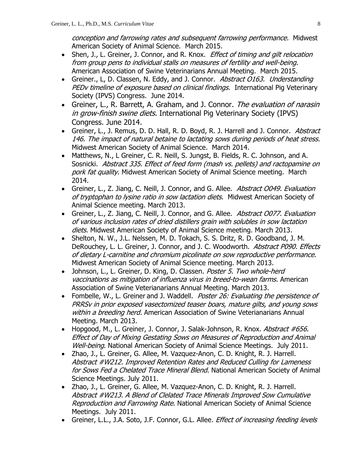conception and farrowing rates and subsequent farrowing performance. Midwest American Society of Animal Science. March 2015.

- Shen, J., L. Greiner, J. Connor, and R. Knox. *Effect of timing and gilt relocation* from group pens to individual stalls on measures of fertility and well-being. American Association of Swine Veterinarians Annual Meeting. March 2015.
- Greiner., L, D. Classen, N. Eddy, and J. Connor. Abstract 0163. Understanding PEDv timeline of exposure based on clinical findings. International Pig Veterinary Society (IPVS) Congress. June 2014.
- Greiner, L., R. Barrett, A. Graham, and J. Connor. The evaluation of narasin in grow-finish swine diets. International Pig Veterinary Society (IPVS) Congress. June 2014.
- Greiner, L., J. Remus, D. D. Hall, R. D. Boyd, R. J. Harrell and J. Connor. Abstract 146. The impact of natural betaine to lactating sows during periods of heat stress. Midwest American Society of Animal Science. March 2014.
- Matthews, N., L Greiner, C. R. Neill, S. Jungst, B. Fields, R. C. Johnson, and A. Sosnicki. Abstract 335. Effect of feed form (mash vs. pellets) and ractopamine on pork fat quality. Midwest American Society of Animal Science meeting. March 2014.
- Greiner, L., Z. Jiang, C. Neill, J. Connor, and G. Allee. Abstract 0049. Evaluation of tryptophan to lysine ratio in sow lactation diets. Midwest American Society of Animal Science meeting. March 2013.
- Greiner, L., Z. Jiang, C. Neill, J. Connor, and G. Allee. Abstract 0077. Evaluation of various inclusion rates of dried distillers grain with solubles in sow lactation diets. Midwest American Society of Animal Science meeting. March 2013.
- Shelton, N. W., J.L. Nelssen, M. D. Tokach, S. S. Dritz, R. D. Goodband, J. M. DeRouchey, L. L. Greiner, J. Connor, and J. C. Woodworth. Abstract P090. Effects of dietary L-carnitine and chromium picolinate on sow reproductive performance. Midwest American Society of Animal Science meeting. March 2013.
- Johnson, L., L. Greiner, D. King, D. Classen. Poster 5. Two whole-herd vaccinations as mitigation of influenza virus in breed-to-wean farms. American Association of Swine Veterianarians Annual Meeting. March 2013.
- Fombelle, W., L. Greiner and J. Waddell. *Poster 26: Evaluating the persistence of* PRRSv in prior exposed vasectomized teaser boars, mature gilts, and young sows within a breeding herd. American Association of Swine Veterianarians Annual Meeting. March 2013.
- Hopgood, M., L. Greiner, J. Connor, J. Salak-Johnson, R. Knox. Abstract #656. Effect of Day of Mixing Gestating Sows on Measures of Reproduction and Animal Well-being. National American Society of Animal Science Meetings. July 2011.
- Zhao, J., L. Greiner, G. Allee, M. Vazquez-Anon, C. D. Knight, R. J. Harrell. Abstract #W212. Improved Retention Rates and Reduced Culling for Lameness for Sows Fed a Chelated Trace Mineral Blend. National American Society of Animal Science Meetings. July 2011.
- Zhao, J., L. Greiner, G. Allee, M. Vazquez-Anon, C. D. Knight, R. J. Harrell. Abstract #W213. A Blend of Clelated Trace Minerals Improved Sow Cumulative Reproduction and Farrowing Rate. National American Society of Animal Science Meetings. July 2011.
- Greiner, L.L., J.A. Soto, J.F. Connor, G.L. Allee. *Effect of increasing feeding levels*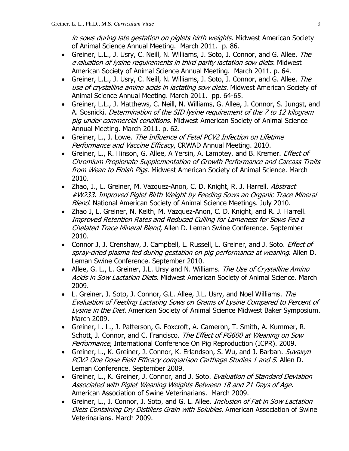in sows during late gestation on piglets birth weights. Midwest American Society of Animal Science Annual Meeting. March 2011. p. 86.

- Greiner, L.L., J. Usry, C. Neill, N. Williams, J. Soto, J. Connor, and G. Allee. The evaluation of lysine requirements in third parity lactation sow diets. Midwest American Society of Animal Science Annual Meeting. March 2011. p. 64.
- Greiner, L.L., J. Usry, C. Neill, N. Williams, J. Soto, J. Connor, and G. Allee. The use of crystalline amino acids in lactating sow diets. Midwest American Society of Animal Science Annual Meeting. March 2011. pp. 64-65.
- Greiner, L.L., J. Matthews, C. Neill, N. Williams, G. Allee, J. Connor, S. Jungst, and A. Sosnicki. Determination of the SID lysine requirement of the 7 to 12 kilogram pig under commercial conditions. Midwest American Society of Animal Science Annual Meeting. March 2011. p. 62.
- Greiner, L., J. Lowe. The Influence of Fetal PCV2 Infection on Lifetime Performance and Vaccine Efficacy, CRWAD Annual Meeting. 2010.
- Greiner, L., R. Hinson, G. Allee, A Yersin, A. Lamptey, and B. Kremer. *Effect of* Chromium Propionate Supplementation of Growth Performance and Carcass Traits from Wean to Finish Pigs. Midwest American Society of Animal Science. March 2010.
- Zhao, J., L. Greiner, M. Vazquez-Anon, C. D. Knight, R. J. Harrell. Abstract #W233. Improved Piglet Birth Weight by Feeding Sows an Organic Trace Mineral Blend. National American Society of Animal Science Meetings. July 2010.
- Zhao J, L. Greiner, N. Keith, M. Vazquez-Anon, C. D. Knight, and R. J. Harrell. Improved Retention Rates and Reduced Culling for Lameness for Sows Fed a Chelated Trace Mineral Blend, Allen D. Leman Swine Conference. September 2010.
- Connor J, J. Crenshaw, J. Campbell, L. Russell, L. Greiner, and J. Soto. *Effect of* spray-dried plasma fed during gestation on pig performance at weaning. Allen D. Leman Swine Conference. September 2010.
- Allee, G. L., L. Greiner, J.L. Ursy and N. Williams. The Use of Crystalline Amino Acids in Sow Lactation Diets. Midwest American Society of Animal Science. March 2009.
- L. Greiner, J. Soto, J. Connor, G.L. Allee, J.L. Usry, and Noel Williams. The Evaluation of Feeding Lactating Sows on Grams of Lysine Compared to Percent of Lysine in the Diet. American Society of Animal Science Midwest Baker Symposium. March 2009.
- Greiner, L. L., J. Patterson, G. Foxcroft, A. Cameron, T. Smith, A. Kummer, R. Schott, J. Connor, and C. Francisco. The Effect of PG600 at Weaning on Sow Performance, International Conference On Pig Reproduction (ICPR). 2009.
- Greiner, L., K. Greiner, J. Connor, K. Erlandson, S. Wu, and J. Barban. Suvaxyn PCV2 One Dose Field Efficacy comparison Carthage Studies 1 and 5. Allen D. Leman Conference. September 2009.
- Greiner, L., K. Greiner, J. Connor, and J. Soto. Evaluation of Standard Deviation Associated with Piglet Weaning Weights Between 18 and 21 Days of Age. American Association of Swine Veterinarians. March 2009.
- Greiner, L., J. Connor, J. Soto, and G. L. Allee. *Inclusion of Fat in Sow Lactation* Diets Containing Dry Distillers Grain with Solubles. American Association of Swine Veterinarians. March 2009.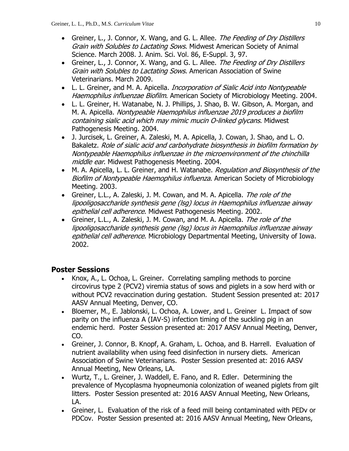- Greiner, L., J. Connor, X. Wang, and G. L. Allee. The Feeding of Dry Distillers Grain with Solubles to Lactating Sows. Midwest American Society of Animal Science. March 2008. J. Anim. Sci. Vol. 86, E-Suppl. 3, 97.
- Greiner, L., J. Connor, X. Wang, and G. L. Allee. The Feeding of Dry Distillers Grain with Solubles to Lactating Sows. American Association of Swine Veterinarians. March 2009.
- L. L. Greiner, and M. A. Apicella. *Incorporation of Sialic Acid into Nontypeable* Haemophilus influenzae Biofilm. American Society of Microbiology Meeting. 2004.
- L. L. Greiner, H. Watanabe, N. J. Phillips, J. Shao, B. W. Gibson, A. Morgan, and M. A. Apicella. Nontypeable Haemophilus influenzae 2019 produces a biofilm containing sialic acid which may mimic mucin O-linked glycans. Midwest Pathogenesis Meeting. 2004.
- J. Jurcisek, L. Greiner, A. Zaleski, M. A. Apicella, J. Cowan, J. Shao, and L. O. Bakaletz. Role of sialic acid and carbohydrate biosynthesis in biofilm formation by Nontypeable Haemophilus influenzae in the microenvironment of the chinchilla middle ear. Midwest Pathogenesis Meeting. 2004.
- M. A. Apicella, L. L. Greiner, and H. Watanabe. Regulation and Biosynthesis of the Biofilm of Nontypeable Haemophilus influenza. American Society of Microbiology Meeting. 2003.
- Greiner, L.L., A. Zaleski, J. M. Cowan, and M. A. Apicella. The role of the lipooligosaccharide synthesis gene (lsg) locus in Haemophilus influenzae airway epithelial cell adherence. Midwest Pathogenesis Meeting. 2002.
- Greiner, L.L., A. Zaleski, J. M. Cowan, and M. A. Apicella. The role of the lipooligosaccharide synthesis gene (lsg) locus in Haemophilus influenzae airway epithelial cell adherence. Microbiology Departmental Meeting, University of Iowa. 2002.

## **Poster Sessions**

- Knox, A., L. Ochoa, L. Greiner. Correlating sampling methods to porcine circovirus type 2 (PCV2) viremia status of sows and piglets in a sow herd with or without PCV2 revaccination during gestation. Student Session presented at: 2017 AASV Annual Meeting, Denver, CO.
- Bloemer, M., E. Jablonski, L. Ochoa, A. Lower, and L. Greiner L. Impact of sow parity on the influenza A (IAV-S) infection timing of the suckling pig in an endemic herd. Poster Session presented at: 2017 AASV Annual Meeting, Denver, CO.
- Greiner, J. Connor, B. Knopf, A. Graham, L. Ochoa, and B. Harrell. Evaluation of nutrient availability when using feed disinfection in nursery diets. American Association of Swine Veterinarians. Poster Session presented at: 2016 AASV Annual Meeting, New Orleans, LA.
- Wurtz, T., L. Greiner, J. Waddell, E. Fano, and R. Edler. Determining the prevalence of Mycoplasma hyopneumonia colonization of weaned piglets from gilt litters. Poster Session presented at: 2016 AASV Annual Meeting, New Orleans, LA.
- Greiner, L. Evaluation of the risk of a feed mill being contaminated with PEDv or PDCov. Poster Session presented at: 2016 AASV Annual Meeting, New Orleans,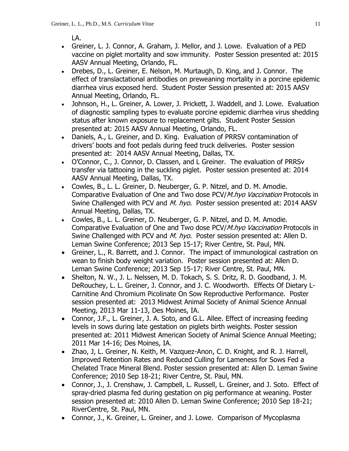LA.

- Greiner, L. J. Connor, A. Graham, J. Mellor, and J. Lowe. Evaluation of a PED vaccine on piglet mortality and sow immunity. Poster Session presented at: 2015 AASV Annual Meeting, Orlando, FL.
- Drebes, D., L. Greiner, E. Nelson, M. Murtaugh, D. King, and J. Connor. The effect of translactational antibodies on preweaning mortality in a porcine epidemic diarrhea virus exposed herd. Student Poster Session presented at: 2015 AASV Annual Meeting, Orlando, FL.
- Johnson, H., L. Greiner, A. Lower, J. Prickett, J. Waddell, and J. Lowe. Evaluation of diagnostic sampling types to evaluate porcine epidemic diarrhea virus shedding status after known exposure to replacement gilts. Student Poster Session presented at: 2015 AASV Annual Meeting, Orlando, FL.
- Daniels, A., L. Greiner, and D. King. Evaluation of PRRSV contamination of drivers' boots and foot pedals during feed truck deliveries. Poster session presented at: 2014 AASV Annual Meeting, Dallas, TX.
- O'Connor, C., J. Connor, D. Classen, and L Greiner. The evaluation of PRRSv transfer via tattooing in the suckling piglet. Poster session presented at: 2014 AASV Annual Meeting, Dallas, TX.
- Cowles, B., L. L. Greiner, D. Neuberger, G. P. Nitzel, and D. M. Amodie. Comparative Evaluation of One and Two dose PCV/M.hyo Vaccination Protocols in Swine Challenged with PCV and M. hyo. Poster session presented at: 2014 AASV Annual Meeting, Dallas, TX.
- Cowles, B., L. L. Greiner, D. Neuberger, G. P. Nitzel, and D. M. Amodie. Comparative Evaluation of One and Two dose PCV/M.hyo Vaccination Protocols in Swine Challenged with PCV and *M. hyo.* Poster session presented at: Allen D. Leman Swine Conference; 2013 Sep 15-17; River Centre, St. Paul, MN.
- Greiner, L., R. Barrett, and J. Connor. The impact of immunological castration on wean to finish body weight variation. Poster session presented at: Allen D. Leman Swine Conference; 2013 Sep 15-17; River Centre, St. Paul, MN.
- Shelton, N. W., J. L. Nelssen, M. D. Tokach, S. S. Dritz, R. D. Goodband, J. M. DeRouchey, L. L. Greiner, J. Connor, and J. C. Woodworth. Effects Of Dietary L-Carnitine And Chromium Picolinate On Sow Reproductive Performance. Poster session presented at: 2013 Midwest Animal Society of Animal Science Annual Meeting, 2013 Mar 11-13, Des Moines, IA.
- Connor, J.F., L. Greiner, J. A. Soto, and G.L. Allee. Effect of increasing feeding levels in sows during late gestation on piglets birth weights. Poster session presented at: 2011 Midwest American Society of Animal Science Annual Meeting; 2011 Mar 14-16; Des Moines, IA.
- Zhao, J, L. Greiner, N. Keith, M. Vazquez-Anon, C. D. Knight, and R. J. Harrell, Improved Retention Rates and Reduced Culling for Lameness for Sows Fed a Chelated Trace Mineral Blend. Poster session presented at: Allen D. Leman Swine Conference; 2010 Sep 18-21; River Centre, St. Paul, MN.
- Connor, J., J. Crenshaw, J. Campbell, L. Russell, L. Greiner, and J. Soto. Effect of spray-dried plasma fed during gestation on pig performance at weaning. Poster session presented at: 2010 Allen D. Leman Swine Conference; 2010 Sep 18-21; RiverCentre, St. Paul, MN.
- Connor, J., K. Greiner, L. Greiner, and J. Lowe. Comparison of Mycoplasma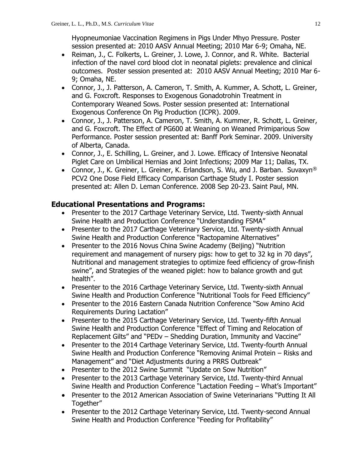Hyopneumoniae Vaccination Regimens in Pigs Under Mhyo Pressure. Poster session presented at: 2010 AASV Annual Meeting; 2010 Mar 6-9; Omaha, NE.

- Reiman, J., C. Folkerts, L. Greiner, J. Lowe, J. Connor, and R. White. Bacterial infection of the navel cord blood clot in neonatal piglets: prevalence and clinical outcomes. Poster session presented at: 2010 AASV Annual Meeting; 2010 Mar 6- 9; Omaha, NE.
- Connor, J., J. Patterson, A. Cameron, T. Smith, A. Kummer, A. Schott, L. Greiner, and G. Foxcroft. Responses to Exogenous Gonadotrohin Treatment in Contemporary Weaned Sows. Poster session presented at: International Exogenous Conference On Pig Production (ICPR). 2009.
- Connor, J., J. Patterson, A. Cameron, T. Smith, A. Kummer, R. Schott, L. Greiner, and G. Foxcroft. The Effect of PG600 at Weaning on Weaned Primiparious Sow Performance. Poster session presented at: Banff Pork Seminar. 2009. University of Alberta, Canada.
- Connor, J., E. Schilling, L. Greiner, and J. Lowe. Efficacy of Intensive Neonatal Piglet Care on Umbilical Hernias and Joint Infections; 2009 Mar 11; Dallas, TX.
- Connor, J., K. Greiner, L. Greiner, K. Erlandson, S. Wu, and J. Barban. Suvaxyn® PCV2 One Dose Field Efficacy Comparison Carthage Study I. Poster session presented at: Allen D. Leman Conference. 2008 Sep 20-23. Saint Paul, MN.

### **Educational Presentations and Programs:**

- Presenter to the 2017 Carthage Veterinary Service, Ltd. Twenty-sixth Annual Swine Health and Production Conference "Understanding FSMA"
- Presenter to the 2017 Carthage Veterinary Service, Ltd. Twenty-sixth Annual Swine Health and Production Conference "Ractopamine Alternatives"
- Presenter to the 2016 Novus China Swine Academy (Beijing) "Nutrition requirement and management of nursery pigs: how to get to 32 kg in 70 days", Nutritional and management strategies to optimize feed efficiency of grow-finish swine", and Strategies of the weaned piglet: how to balance growth and gut health".
- Presenter to the 2016 Carthage Veterinary Service, Ltd. Twenty-sixth Annual Swine Health and Production Conference "Nutritional Tools for Feed Efficiency"
- Presenter to the 2016 Eastern Canada Nutrition Conference "Sow Amino Acid Requirements During Lactation"
- Presenter to the 2015 Carthage Veterinary Service, Ltd. Twenty-fifth Annual Swine Health and Production Conference "Effect of Timing and Relocation of Replacement Gilts" and "PEDv – Shedding Duration, Immunity and Vaccine"
- Presenter to the 2014 Carthage Veterinary Service, Ltd. Twenty-fourth Annual Swine Health and Production Conference "Removing Animal Protein – Risks and Management" and "Diet Adjustments during a PRRS Outbreak"
- Presenter to the 2012 Swine Summit "Update on Sow Nutrition"
- Presenter to the 2013 Carthage Veterinary Service, Ltd. Twenty-third Annual Swine Health and Production Conference "Lactation Feeding – What's Important"
- Presenter to the 2012 American Association of Swine Veterinarians "Putting It All Together"
- Presenter to the 2012 Carthage Veterinary Service, Ltd. Twenty-second Annual Swine Health and Production Conference "Feeding for Profitability"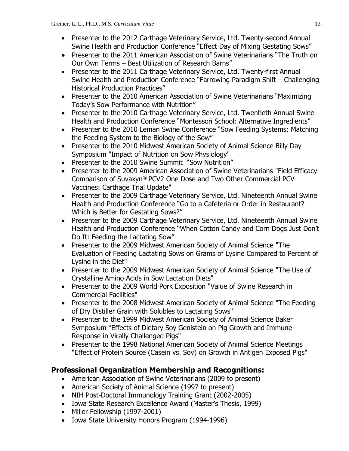- Presenter to the 2012 Carthage Veterinary Service, Ltd. Twenty-second Annual Swine Health and Production Conference "Effect Day of Mixing Gestating Sows"
- Presenter to the 2011 American Association of Swine Veterinarians "The Truth on Our Own Terms – Best Utilization of Research Barns"
- Presenter to the 2011 Carthage Veterinary Service, Ltd. Twenty-first Annual Swine Health and Production Conference "Farrowing Paradigm Shift – Challenging Historical Production Practices"
- Presenter to the 2010 American Association of Swine Veterinarians "Maximizing" Today's Sow Performance with Nutrition"
- Presenter to the 2010 Carthage Veterinary Service, Ltd. Twentieth Annual Swine Health and Production Conference "Montessori School: Alternative Ingredients"
- Presenter to the 2010 Leman Swine Conference "Sow Feeding Systems: Matching the Feeding System to the Biology of the Sow"
- Presenter to the 2010 Midwest American Society of Animal Science Billy Day Symposium "Impact of Nutrition on Sow Physiology"
- Presenter to the 2010 Swine Summit "Sow Nutrition"
- Presenter to the 2009 American Association of Swine Veterinarians "Field Efficacy Comparison of Suvaxyn® PCV2 One Dose and Two Other Commercial PCV Vaccines: Carthage Trial Update"
- Presenter to the 2009 Carthage Veterinary Service, Ltd. Nineteenth Annual Swine Health and Production Conference "Go to a Cafeteria or Order in Restaurant? Which is Better for Gestating Sows?"
- Presenter to the 2009 Carthage Veterinary Service, Ltd. Nineteenth Annual Swine Health and Production Conference "When Cotton Candy and Corn Dogs Just Don't Do It: Feeding the Lactating Sow"
- Presenter to the 2009 Midwest American Society of Animal Science "The Evaluation of Feeding Lactating Sows on Grams of Lysine Compared to Percent of Lysine in the Diet"
- Presenter to the 2009 Midwest American Society of Animal Science "The Use of Crystalline Amino Acids in Sow Lactation Diets"
- Presenter to the 2009 World Pork Exposition "Value of Swine Research in Commercial Facilities"
- Presenter to the 2008 Midwest American Society of Animal Science "The Feeding of Dry Distiller Grain with Solubles to Lactating Sows"
- Presenter to the 1999 Midwest American Society of Animal Science Baker Symposium "Effects of Dietary Soy Genistein on Pig Growth and Immune Response in Virally Challenged Pigs"
- Presenter to the 1998 National American Society of Animal Science Meetings "Effect of Protein Source (Casein vs. Soy) on Growth in Antigen Exposed Pigs"

# **Professional Organization Membership and Recognitions:**

- American Association of Swine Veterinarians (2009 to present)
- American Society of Animal Science (1997 to present)
- NIH Post-Doctoral Immunology Training Grant (2002-2005)
- Iowa State Research Excellence Award (Master's Thesis, 1999)
- Miller Fellowship (1997-2001)
- Iowa State University Honors Program (1994-1996)